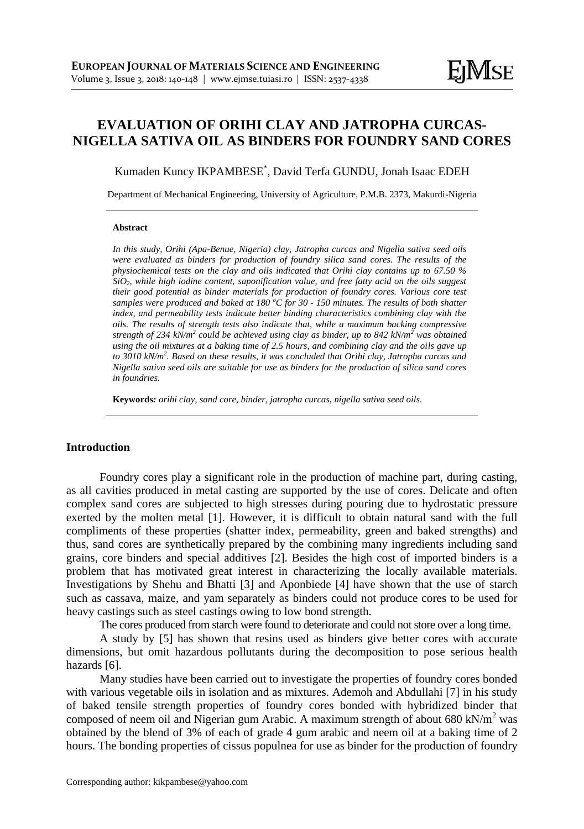# **EVALUATION OF ORIHI CLAY AND JATROPHA CURCAS-NIGELLA SATIVA OIL AS BINDERS FOR FOUNDRY SAND CORES**

Kumaden Kuncy IKPAMBESE\* , David Terfa GUNDU, Jonah Isaac EDEH

Department of Mechanical Engineering, University of Agriculture, P.M.B. 2373, Makurdi-Nigeria

#### **Abstract**

*In this study, Orihi (Apa-Benue, Nigeria) clay, Jatropha curcas and Nigella sativa seed oils were evaluated as binders for production of foundry silica sand cores. The results of the physiochemical tests on the clay and oils indicated that Orihi clay contains up to 67.50 % SiO2, while high iodine content, saponification value, and free fatty acid on the oils suggest their good potential as binder materials for production of foundry cores. Various core test samples were produced and baked at 180 <sup>o</sup>C for 30 - 150 minutes. The results of both shatter index, and permeability tests indicate better binding characteristics combining clay with the oils. The results of strength tests also indicate that, while a maximum backing compressive strength of 234 kN/m<sup>2</sup> could be achieved using clay as binder, up to 842 kN/m<sup>2</sup> was obtained using the oil mixtures at a baking time of 2.5 hours, and combining clay and the oils gave up to 3010 kN/m<sup>2</sup> . Based on these results, it was concluded that Orihi clay, Jatropha curcas and Nigella sativa seed oils are suitable for use as binders for the production of silica sand cores in foundries.*

**Keywords***: orihi clay, sand core, binder, jatropha curcas, nigella sativa seed oils.*

## **Introduction**

Foundry cores play a significant role in the production of machine part, during casting, as all cavities produced in metal casting are supported by the use of cores. Delicate and often complex sand cores are subjected to high stresses during pouring due to hydrostatic pressure exerted by the molten metal [1]. However, it is difficult to obtain natural sand with the full compliments of these properties (shatter index, permeability, green and baked strengths) and thus, sand cores are synthetically prepared by the combining many ingredients including sand grains, core binders and special additives [2]. Besides the high cost of imported binders is a problem that has motivated great interest in characterizing the locally available materials. Investigations by Shehu and Bhatti [3] and Aponbiede [4] have shown that the use of starch such as cassava, maize, and yam separately as binders could not produce cores to be used for heavy castings such as steel castings owing to low bond strength.

The cores produced from starch were found to deteriorate and could not store over a long time.

A study by [5] has shown that resins used as binders give better cores with accurate dimensions, but omit hazardous pollutants during the decomposition to pose serious health hazards [6].

Many studies have been carried out to investigate the properties of foundry cores bonded with various vegetable oils in isolation and as mixtures. Ademoh and Abdullahi [7] in his study of baked tensile strength properties of foundry cores bonded with hybridized binder that composed of neem oil and Nigerian gum Arabic. A maximum strength of about 680 kN/ $m<sup>2</sup>$  was obtained by the blend of 3% of each of grade 4 gum arabic and neem oil at a baking time of 2 hours. The bonding properties of cissus populnea for use as binder for the production of foundry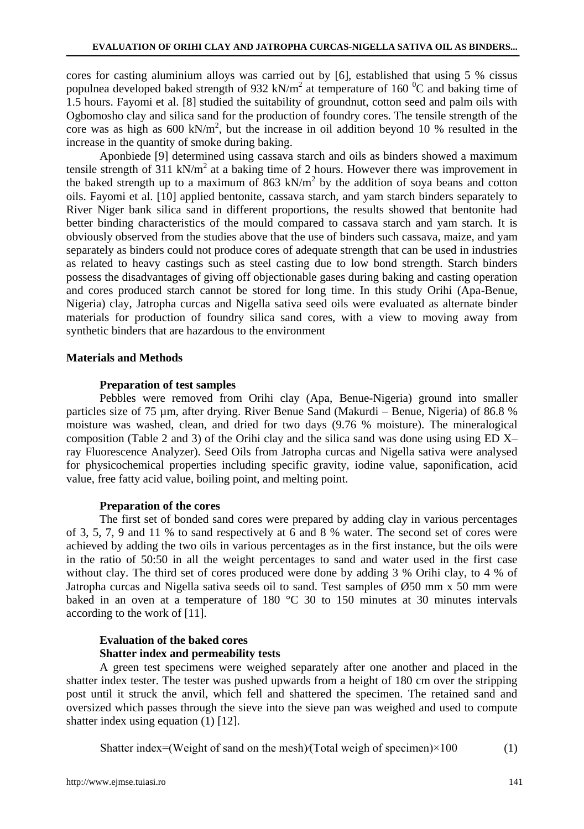cores for casting aluminium alloys was carried out by [6], established that using 5 % cissus populnea developed baked strength of 932 kN/m<sup>2</sup> at temperature of 160  $^{\circ}$ C and baking time of 1.5 hours. Fayomi et al. [8] studied the suitability of groundnut, cotton seed and palm oils with Ogbomosho clay and silica sand for the production of foundry cores. The tensile strength of the core was as high as  $600 \text{ kN/m}^2$ , but the increase in oil addition beyond 10 % resulted in the increase in the quantity of smoke during baking.

Aponbiede [9] determined using cassava starch and oils as binders showed a maximum tensile strength of  $311 \text{ kN/m}^2$  at a baking time of 2 hours. However there was improvement in the baked strength up to a maximum of  $863 \text{ kN/m}^2$  by the addition of soya beans and cotton oils. Fayomi et al. [10] applied bentonite, cassava starch, and yam starch binders separately to River Niger bank silica sand in different proportions, the results showed that bentonite had better binding characteristics of the mould compared to cassava starch and yam starch. It is obviously observed from the studies above that the use of binders such cassava, maize, and yam separately as binders could not produce cores of adequate strength that can be used in industries as related to heavy castings such as steel casting due to low bond strength. Starch binders possess the disadvantages of giving off objectionable gases during baking and casting operation and cores produced starch cannot be stored for long time. In this study Orihi (Apa-Benue, Nigeria) clay, Jatropha curcas and Nigella sativa seed oils were evaluated as alternate binder materials for production of foundry silica sand cores, with a view to moving away from synthetic binders that are hazardous to the environment

#### **Materials and Methods**

## **Preparation of test samples**

Pebbles were removed from Orihi clay (Apa, Benue-Nigeria) ground into smaller particles size of 75 µm, after drying. River Benue Sand (Makurdi – Benue, Nigeria) of 86.8 % moisture was washed, clean, and dried for two days (9.76 % moisture). The mineralogical composition (Table 2 and 3) of the Orihi clay and the silica sand was done using using ED X– ray Fluorescence Analyzer). Seed Oils from Jatropha curcas and Nigella sativa were analysed for physicochemical properties including specific gravity, iodine value, saponification, acid value, free fatty acid value, boiling point, and melting point.

## **Preparation of the cores**

The first set of bonded sand cores were prepared by adding clay in various percentages of 3, 5, 7, 9 and 11 % to sand respectively at 6 and 8 % water. The second set of cores were achieved by adding the two oils in various percentages as in the first instance, but the oils were in the ratio of 50:50 in all the weight percentages to sand and water used in the first case without clay. The third set of cores produced were done by adding 3 % Orihi clay, to 4 % of Jatropha curcas and Nigella sativa seeds oil to sand. Test samples of Ø50 mm x 50 mm were baked in an oven at a temperature of 180 °C 30 to 150 minutes at 30 minutes intervals according to the work of [11].

# **Evaluation of the baked cores Shatter index and permeability tests**

A green test specimens were weighed separately after one another and placed in the shatter index tester. The tester was pushed upwards from a height of 180 cm over the stripping post until it struck the anvil, which fell and shattered the specimen. The retained sand and oversized which passes through the sieve into the sieve pan was weighed and used to compute shatter index using equation (1) [12].

Shatter index=(Weight of sand on the mesh) $/$ (Total weigh of specimen) $\times$ 100 (1)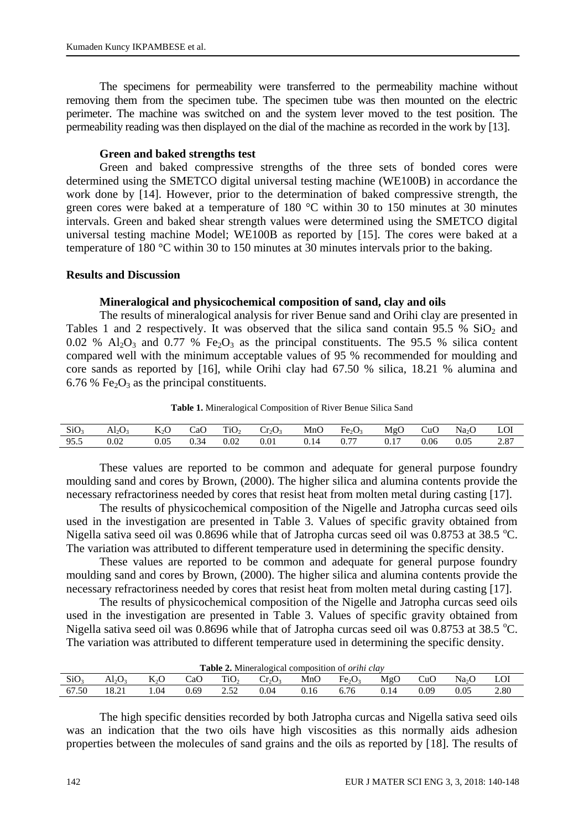The specimens for permeability were transferred to the permeability machine without removing them from the specimen tube. The specimen tube was then mounted on the electric perimeter. The machine was switched on and the system lever moved to the test position. The permeability reading was then displayed on the dial of the machine as recorded in the work by [13].

# **Green and baked strengths test**

Green and baked compressive strengths of the three sets of bonded cores were determined using the SMETCO digital universal testing machine (WE100B) in accordance the work done by [14]. However, prior to the determination of baked compressive strength, the green cores were baked at a temperature of 180 °C within 30 to 150 minutes at 30 minutes intervals. Green and baked shear strength values were determined using the SMETCO digital universal testing machine Model; WE100B as reported by [15]. The cores were baked at a temperature of 180 °C within 30 to 150 minutes at 30 minutes intervals prior to the baking.

# **Results and Discussion**

# **Mineralogical and physicochemical composition of sand, clay and oils**

The results of mineralogical analysis for river Benue sand and Orihi clay are presented in Tables 1 and 2 respectively. It was observed that the silica sand contain  $95.5\%$  SiO<sub>2</sub> and 0.02 %  $Al_2O_3$  and 0.77 % Fe<sub>2</sub>O<sub>3</sub> as the principal constituents. The 95.5 % silica content compared well with the minimum acceptable values of 95 % recommended for moulding and core sands as reported by [16], while Orihi clay had 67.50 % silica, 18.21 % alumina and 6.76 % Fe<sub>2</sub>O<sub>3</sub> as the principal constituents.

**Table 1.** Mineralogical Composition of River Benue Silica Sand

| SiO <sub>3</sub> | AI <sub>2</sub> U <sub>3</sub> | K <sub>2</sub> O | CaO  | TiO <sub>2</sub> | $Cr_2O_2$ | MnO  | Fe <sub>2</sub> O <sub>3</sub> | MgC  | CuO  | Na <sub>2</sub> C | LOI  |
|------------------|--------------------------------|------------------|------|------------------|-----------|------|--------------------------------|------|------|-------------------|------|
| 95.5             | 0.02                           | $_{0.05}$        | 0.34 | $_{0.02}$        | 0.01      | 0.14 | 0.77                           | 0.17 | 0.06 | 0.05              | 2.87 |

These values are reported to be common and adequate for general purpose foundry moulding sand and cores by Brown, (2000). The higher silica and alumina contents provide the necessary refractoriness needed by cores that resist heat from molten metal during casting [17].

The results of physicochemical composition of the Nigelle and Jatropha curcas seed oils used in the investigation are presented in Table 3. Values of specific gravity obtained from Nigella sativa seed oil was 0.8696 while that of Jatropha curcas seed oil was 0.8753 at 38.5 °C. The variation was attributed to different temperature used in determining the specific density.

These values are reported to be common and adequate for general purpose foundry moulding sand and cores by Brown, (2000). The higher silica and alumina contents provide the necessary refractoriness needed by cores that resist heat from molten metal during casting [17].

The results of physicochemical composition of the Nigelle and Jatropha curcas seed oils used in the investigation are presented in Table 3. Values of specific gravity obtained from Nigella sativa seed oil was 0.8696 while that of Jatropha curcas seed oil was 0.8753 at 38.5 °C. The variation was attributed to different temperature used in determining the specific density.

| <b>Table 2.</b> Mineralogical composition of <i>orihi clay</i> |       |                  |      |                  |           |      |                                |      |      |                   |      |
|----------------------------------------------------------------|-------|------------------|------|------------------|-----------|------|--------------------------------|------|------|-------------------|------|
| SiO <sub>3</sub>                                               | Al2O3 | K <sub>2</sub> O | CaO  | TiO <sub>2</sub> | $Cr_2O_3$ | MnO  | Fe <sub>2</sub> O <sub>3</sub> | MgO  | CuO  | Na <sub>2</sub> O | LOI  |
| 67.50                                                          | 18.21 | .04              | 0.69 | 252              | 0.04      | 0.16 | 6.76                           | 0.14 | 0.09 | 0.05              | 2.80 |

The high specific densities recorded by both Jatropha curcas and Nigella sativa seed oils was an indication that the two oils have high viscosities as this normally aids adhesion properties between the molecules of sand grains and the oils as reported by [18]. The results of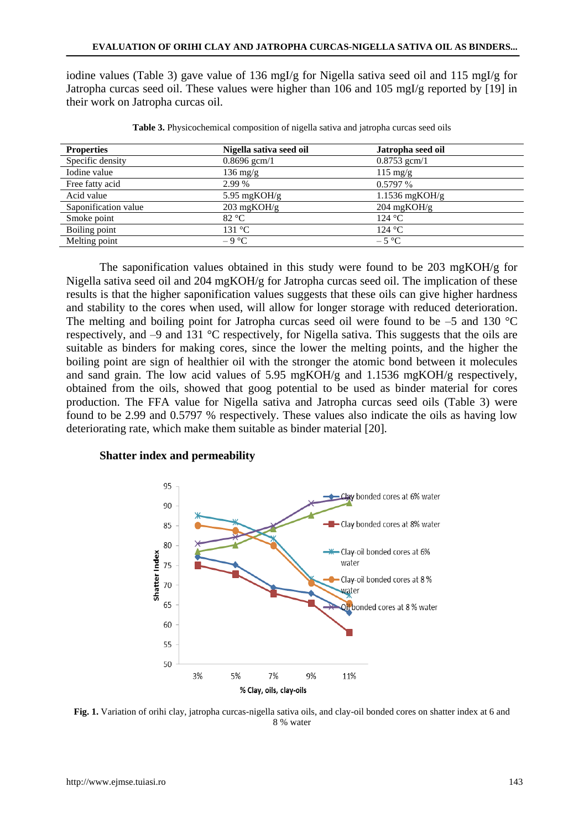iodine values (Table 3) gave value of 136 mgI/g for Nigella sativa seed oil and 115 mgI/g for Jatropha curcas seed oil. These values were higher than 106 and 105 mgI/g reported by [19] in their work on Jatropha curcas oil.

| <b>Properties</b>    | Nigella sativa seed oil | Jatropha seed oil     |
|----------------------|-------------------------|-----------------------|
| Specific density     | $0.8696$ gcm $/1$       | $0.8753$ gcm/1        |
| Iodine value         | $136 \text{ mg/g}$      | $115 \text{ mg/g}$    |
| Free fatty acid      | 2.99 %                  | $0.5797\%$            |
| Acid value           | 5.95 mg $KOH/g$         | $1.1536$ mgKOH/g      |
| Saponification value | $203 \text{ mgKOH/g}$   | $204 \text{ mgKOH/g}$ |
| Smoke point          | 82 °C                   | 124 °C                |
| Boiling point        | 131 °C                  | 124 °C                |
| Melting point        | $-9$ °C                 | $-5 °C$               |

**Table 3.** Physicochemical composition of nigella sativa and jatropha curcas seed oils

The saponification values obtained in this study were found to be 203 mgKOH/g for Nigella sativa seed oil and 204 mgKOH/g for Jatropha curcas seed oil. The implication of these results is that the higher saponification values suggests that these oils can give higher hardness and stability to the cores when used, will allow for longer storage with reduced deterioration. The melting and boiling point for Jatropha curcas seed oil were found to be  $-5$  and 130 °C respectively, and –9 and 131 °C respectively, for Nigella sativa. This suggests that the oils are suitable as binders for making cores, since the lower the melting points, and the higher the boiling point are sign of healthier oil with the stronger the atomic bond between it molecules and sand grain. The low acid values of 5.95 mgKOH/g and 1.1536 mgKOH/g respectively, obtained from the oils, showed that goog potential to be used as binder material for cores production. The FFA value for Nigella sativa and Jatropha curcas seed oils (Table 3) were found to be 2.99 and 0.5797 % respectively. These values also indicate the oils as having low deteriorating rate, which make them suitable as binder material [20].

# **Shatter index and permeability**



**Fig. 1.** Variation of orihi clay, jatropha curcas-nigella sativa oils, and clay-oil bonded cores on shatter index at 6 and 8 % water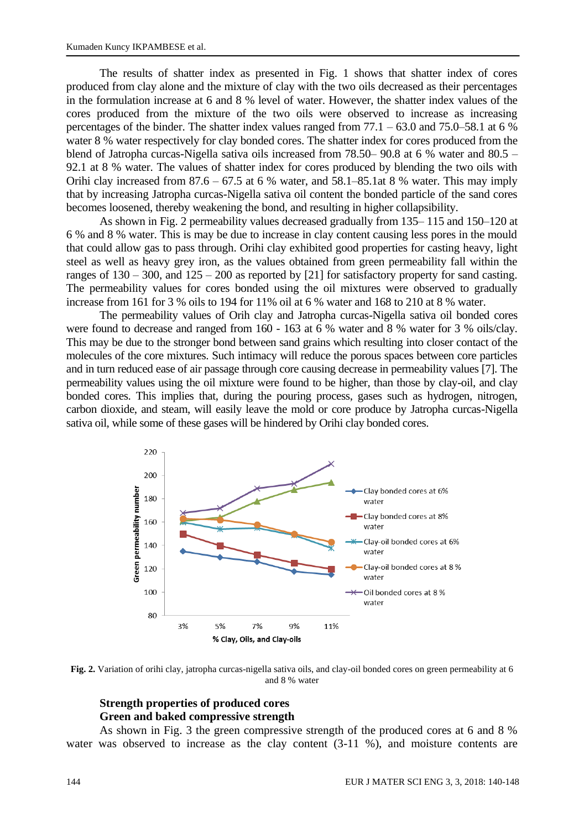The results of shatter index as presented in Fig. 1 shows that shatter index of cores produced from clay alone and the mixture of clay with the two oils decreased as their percentages in the formulation increase at 6 and 8 % level of water. However, the shatter index values of the cores produced from the mixture of the two oils were observed to increase as increasing percentages of the binder. The shatter index values ranged from  $77.1 - 63.0$  and  $75.0-58.1$  at 6 % water 8 % water respectively for clay bonded cores. The shatter index for cores produced from the blend of Jatropha curcas-Nigella sativa oils increased from 78.50– 90.8 at 6 % water and 80.5 – 92.1 at 8 % water. The values of shatter index for cores produced by blending the two oils with Orihi clay increased from  $87.6 - 67.5$  at 6 % water, and  $58.1 - 85.1$  at 8 % water. This may imply that by increasing Jatropha curcas-Nigella sativa oil content the bonded particle of the sand cores becomes loosened, thereby weakening the bond, and resulting in higher collapsibility.

As shown in Fig. 2 permeability values decreased gradually from 135– 115 and 150–120 at 6 % and 8 % water. This is may be due to increase in clay content causing less pores in the mould that could allow gas to pass through. Orihi clay exhibited good properties for casting heavy, light steel as well as heavy grey iron, as the values obtained from green permeability fall within the ranges of  $130 - 300$ , and  $125 - 200$  as reported by [21] for satisfactory property for sand casting. The permeability values for cores bonded using the oil mixtures were observed to gradually increase from 161 for 3 % oils to 194 for 11% oil at 6 % water and 168 to 210 at 8 % water.

The permeability values of Orih clay and Jatropha curcas-Nigella sativa oil bonded cores were found to decrease and ranged from 160 - 163 at 6 % water and 8 % water for 3 % oils/clay. This may be due to the stronger bond between sand grains which resulting into closer contact of the molecules of the core mixtures. Such intimacy will reduce the porous spaces between core particles and in turn reduced ease of air passage through core causing decrease in permeability values [7]. The permeability values using the oil mixture were found to be higher, than those by clay-oil, and clay bonded cores. This implies that, during the pouring process, gases such as hydrogen, nitrogen, carbon dioxide, and steam, will easily leave the mold or core produce by Jatropha curcas-Nigella sativa oil, while some of these gases will be hindered by Orihi clay bonded cores.



**Fig. 2.** Variation of orihi clay, jatropha curcas-nigella sativa oils, and clay-oil bonded cores on green permeability at 6 and 8 % water

# **Strength properties of produced cores Green and baked compressive strength**

As shown in Fig. 3 the green compressive strength of the produced cores at 6 and 8 % water was observed to increase as the clay content  $(3-11 \%)$ , and moisture contents are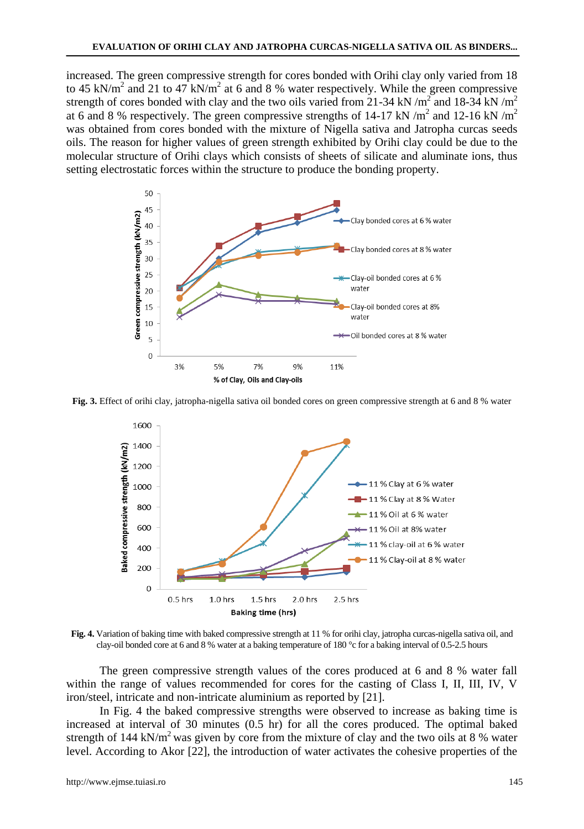increased. The green compressive strength for cores bonded with Orihi clay only varied from 18 to 45 kN/m<sup>2</sup> and 21 to 47 kN/m<sup>2</sup> at 6 and 8 % water respectively. While the green compressive strength of cores bonded with clay and the two oils varied from 21-34 kN/ $m^2$  and 18-34 kN/ $m^2$ at 6 and 8 % respectively. The green compressive strengths of 14-17 kN /m<sup>2</sup> and 12-16 kN /m<sup>2</sup> was obtained from cores bonded with the mixture of Nigella sativa and Jatropha curcas seeds oils. The reason for higher values of green strength exhibited by Orihi clay could be due to the molecular structure of Orihi clays which consists of sheets of silicate and aluminate ions, thus setting electrostatic forces within the structure to produce the bonding property.



**Fig. 3.** Effect of orihi clay, jatropha-nigella sativa oil bonded cores on green compressive strength at 6 and 8 % water



**Fig. 4.** Variation of baking time with baked compressive strength at 11 % for orihi clay, jatropha curcas-nigella sativa oil, and clay-oil bonded core at 6 and 8 % water at a baking temperature of 180 °c for a baking interval of 0.5-2.5 hours

The green compressive strength values of the cores produced at 6 and 8 % water fall within the range of values recommended for cores for the casting of Class I, II, III, IV, V iron/steel, intricate and non-intricate aluminium as reported by [21].

In Fig. 4 the baked compressive strengths were observed to increase as baking time is increased at interval of 30 minutes (0.5 hr) for all the cores produced. The optimal baked strength of 144 kN/m<sup>2</sup> was given by core from the mixture of clay and the two oils at 8 % water level. According to Akor [22], the introduction of water activates the cohesive properties of the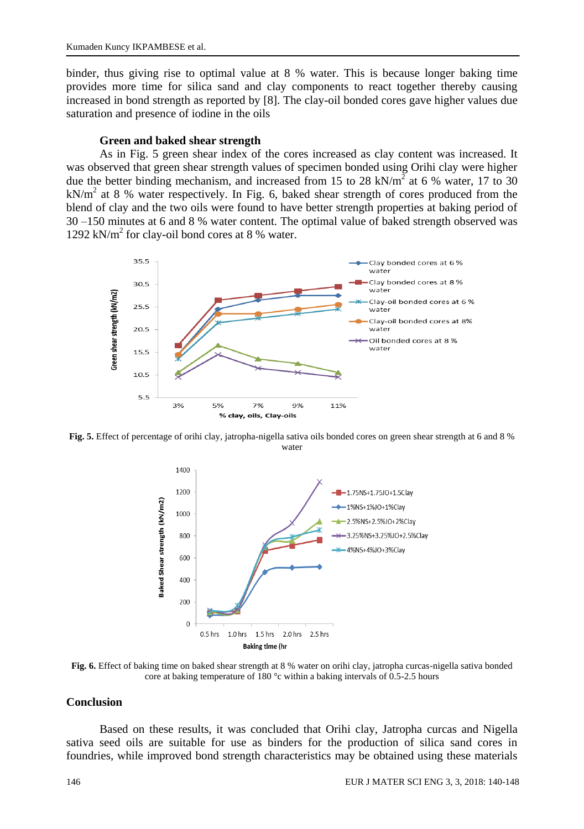binder, thus giving rise to optimal value at 8 % water. This is because longer baking time provides more time for silica sand and clay components to react together thereby causing increased in bond strength as reported by [8]. The clay-oil bonded cores gave higher values due saturation and presence of iodine in the oils

#### **Green and baked shear strength**

As in Fig. 5 green shear index of the cores increased as clay content was increased. It was observed that green shear strength values of specimen bonded using Orihi clay were higher due the better binding mechanism, and increased from 15 to 28 kN/m<sup>2</sup> at 6 % water, 17 to 30  $kN/m<sup>2</sup>$  at 8 % water respectively. In Fig. 6, baked shear strength of cores produced from the blend of clay and the two oils were found to have better strength properties at baking period of 30 –150 minutes at 6 and 8 % water content. The optimal value of baked strength observed was 1292 kN/m<sup>2</sup> for clay-oil bond cores at 8 % water.



**Fig. 5.** Effect of percentage of orihi clay, jatropha-nigella sativa oils bonded cores on green shear strength at 6 and 8 % water



**Fig. 6.** Effect of baking time on baked shear strength at 8 % water on orihi clay, jatropha curcas-nigella sativa bonded core at baking temperature of 180 °c within a baking intervals of 0.5-2.5 hours

#### **Conclusion**

Based on these results, it was concluded that Orihi clay, Jatropha curcas and Nigella sativa seed oils are suitable for use as binders for the production of silica sand cores in foundries, while improved bond strength characteristics may be obtained using these materials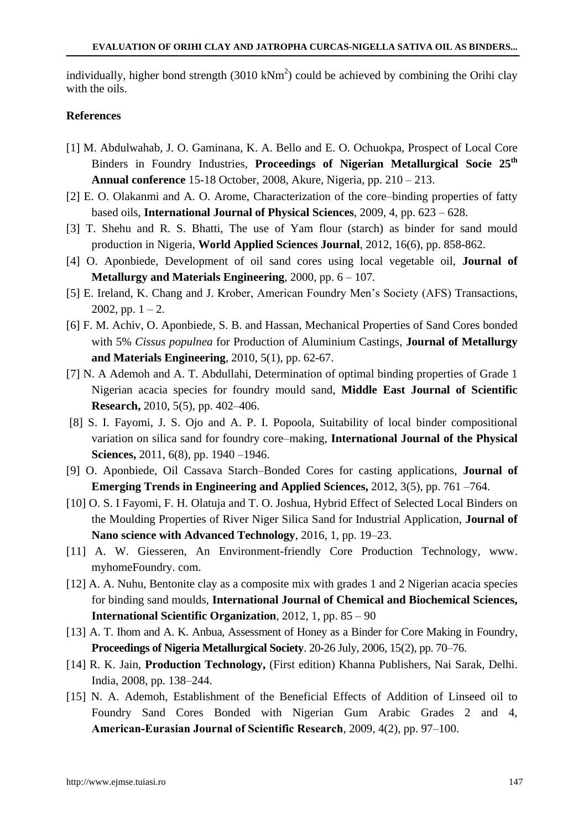individually, higher bond strength  $(3010 \text{ kNm}^2)$  could be achieved by combining the Orihi clay with the oils.

# **References**

- [1] M. Abdulwahab, J. O. Gaminana, K. A. Bello and E. O. Ochuokpa, Prospect of Local Core Binders in Foundry Industries, **Proceedings of Nigerian Metallurgical Socie 25th Annual conference** 15-18 October, 2008, Akure, Nigeria, pp. 210 – 213.
- [2] E. O. Olakanmi and A. O. Arome, Characterization of the core–binding properties of fatty based oils, **International Journal of Physical Sciences**, 2009, 4, pp. 623 – 628.
- [3] T. Shehu and R. S. Bhatti, The use of Yam flour (starch) as binder for sand mould production in Nigeria, **World Applied Sciences Journal**, 2012, 16(6), pp. 858-862.
- [4] O. Aponbiede, Development of oil sand cores using local vegetable oil, **Journal of Metallurgy and Materials Engineering**, 2000, pp. 6 – 107.
- [5] E. Ireland, K. Chang and J. Krober, American Foundry Men's Society (AFS) Transactions, 2002, pp.  $1 - 2$ .
- [6] F. M. Achiv, O. Aponbiede, S. B. and Hassan, Mechanical Properties of Sand Cores bonded with 5% *Cissus populnea* for Production of Aluminium Castings, **Journal of Metallurgy and Materials Engineering**, 2010, 5(1), pp. 62-67.
- [7] N. A Ademoh and A. T. Abdullahi, Determination of optimal binding properties of Grade 1 Nigerian acacia species for foundry mould sand, **Middle East Journal of Scientific Research,** 2010, 5(5), pp. 402–406.
- [8] S. I. Fayomi, J. S. Ojo and A. P. I. Popoola, Suitability of local binder compositional variation on silica sand for foundry core–making, **International Journal of the Physical Sciences,** 2011, 6(8), pp. 1940 –1946.
- [9] O. Aponbiede, Oil Cassava Starch–Bonded Cores for casting applications, **Journal of Emerging Trends in Engineering and Applied Sciences,** 2012, 3(5), pp. 761 –764.
- [10] O. S. I Fayomi, F. H. Olatuja and T. O. Joshua, Hybrid Effect of Selected Local Binders on the Moulding Properties of River Niger Silica Sand for Industrial Application, **Journal of Nano science with Advanced Technology**, 2016, 1, pp. 19–23.
- [11] A. W. Giesseren, An Environment-friendly Core Production Technology, www. myhomeFoundry. com.
- [12] A. A. Nuhu, Bentonite clay as a composite mix with grades 1 and 2 Nigerian acacia species for binding sand moulds, **International Journal of Chemical and Biochemical Sciences, International Scientific Organization**, 2012, 1, pp. 85 – 90
- [13] A. T. Ihom and A. K. Anbua, Assessment of Honey as a Binder for Core Making in Foundry, **Proceedings of Nigeria Metallurgical Society**. 20-26 July, 2006, 15(2), pp. 70–76.
- [14] R. K. Jain, **Production Technology,** (First edition) Khanna Publishers, Nai Sarak, Delhi. India, 2008, pp. 138–244.
- [15] N. A. Ademoh, Establishment of the Beneficial Effects of Addition of Linseed oil to Foundry Sand Cores Bonded with Nigerian Gum Arabic Grades 2 and 4, **American‐Eurasian Journal of Scientific Research**, 2009, 4(2), pp. 97–100.